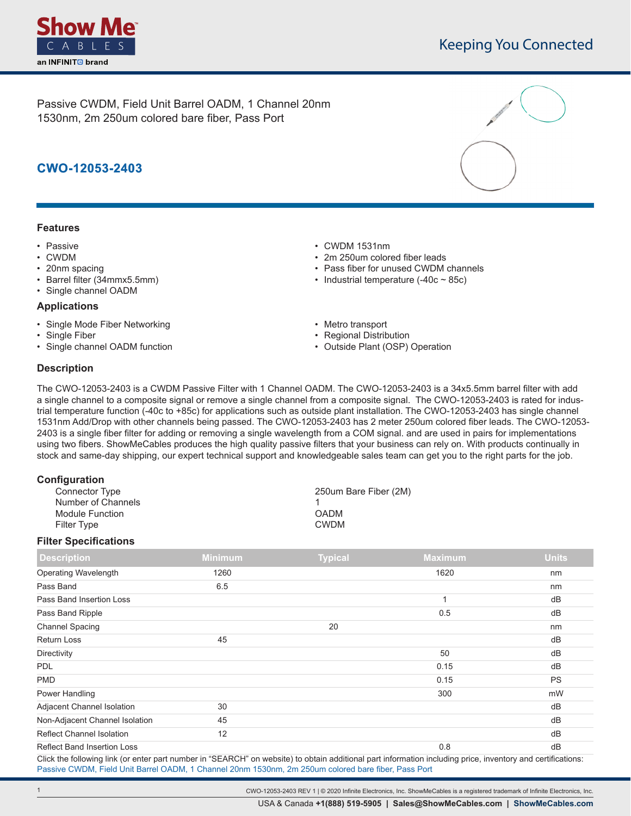

Passive CWDM, Field Unit Barrel OADM, 1 Channel 20nm 1530nm, 2m 250um colored bare fiber, Pass Port

# **CWO-12053-2403**

## **Features**

- Passive
- CWDM
- 20nm spacing
- Barrel filter (34mmx5.5mm)
- Single channel OADM

#### **Applications**

- Single Mode Fiber Networking
- Single Fiber
- Single channel OADM function
- CWDM 1531nm
- 2m 250um colored fiber leads
- Pass fiber for unused CWDM channels
- Industrial temperature  $(-40c 85c)$
- Metro transport
- Regional Distribution
- Outside Plant (OSP) Operation

## **Description**

The CWO-12053-2403 is a CWDM Passive Filter with 1 Channel OADM. The CWO-12053-2403 is a 34x5.5mm barrel filter with add a single channel to a composite signal or remove a single channel from a composite signal. The CWO-12053-2403 is rated for industrial temperature function (-40c to +85c) for applications such as outside plant installation. The CWO-12053-2403 has single channel 1531nm Add/Drop with other channels being passed. The CWO-12053-2403 has 2 meter 250um colored fiber leads. The CWO-12053- 2403 is a single fiber filter for adding or removing a single wavelength from a COM signal. and are used in pairs for implementations using two fibers. ShowMeCables produces the high quality passive filters that your business can rely on. With products continually in stock and same-day shipping, our expert technical support and knowledgeable sales team can get you to the right parts for the job.

| Configuration      |                       |
|--------------------|-----------------------|
| Connector Type     | 250um Bare Fiber (2M) |
| Number of Channels |                       |
| Module Function    | <b>OADM</b>           |
| Filter Type        | <b>CWDM</b>           |
|                    |                       |

### **Filter Specifications**

| <b>Description</b>                 | <b>Minimum</b> | <b>Typical</b> | <b>Maximum</b> | <b>Units</b> |
|------------------------------------|----------------|----------------|----------------|--------------|
| Operating Wavelength               | 1260           |                | 1620           | nm           |
| Pass Band                          | 6.5            |                |                | nm           |
| Pass Band Insertion Loss           |                |                | -4             | dB           |
| Pass Band Ripple                   |                |                | 0.5            | dB           |
| <b>Channel Spacing</b>             |                | 20             |                | nm           |
| <b>Return Loss</b>                 | 45             |                |                | dB           |
| Directivity                        |                |                | 50             | dB           |
| <b>PDL</b>                         |                |                | 0.15           | dB           |
| <b>PMD</b>                         |                |                | 0.15           | <b>PS</b>    |
| Power Handling                     |                |                | 300            | mW           |
| Adjacent Channel Isolation         | 30             |                |                | dB           |
| Non-Adjacent Channel Isolation     | 45             |                |                | dB           |
| <b>Reflect Channel Isolation</b>   | 12             |                |                | dB           |
| <b>Reflect Band Insertion Loss</b> |                |                | 0.8            | dB           |

Click the following link (or enter part number in "SEARCH" on website) to obtain additional part information including price, inventory and certifications: [Passive CWDM, Field Unit Barrel OADM, 1 Channel 20nm 1530nm, 2m 250um colored bare fiber, Pass Port](https://www.showmecables.com/No-URL-Convention-Found-for-?CWO-12053-2403-p.aspx)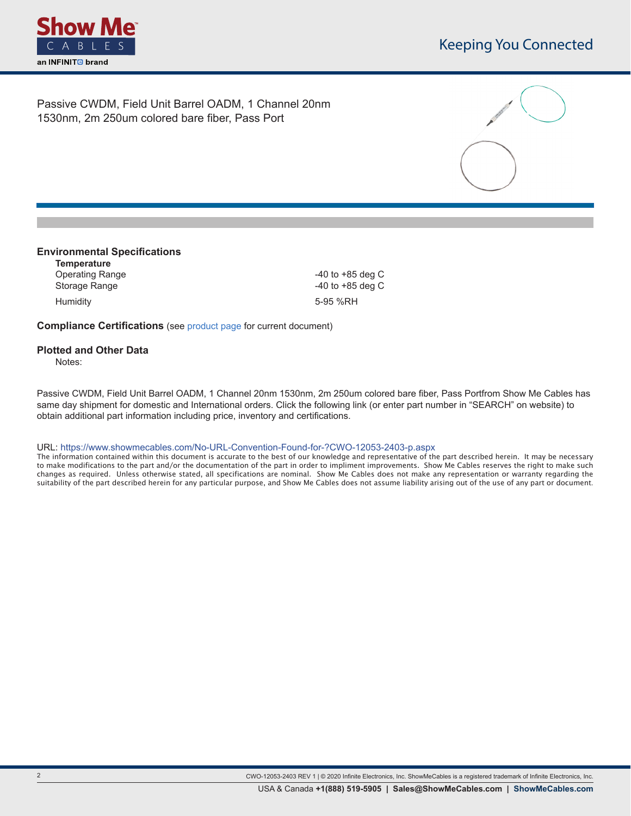

Passive CWDM, Field Unit Barrel OADM, 1 Channel 20nm 1530nm, 2m 250um colored bare fiber, Pass Port



### **Environmental Specifications**

**Temperature** Operating Range **-40** to +85 deg C Storage Range **CONFINGUIST** 2008 2012 12:00:00 12:00:00 140 to +85 deg C Humidity 5-95 %RH

**Compliance Certifications** (see [product page](https://www.showmecables.com/No-URL-Convention-Found-for-?CWO-12053-2403-p.aspx) for current document)

## **Plotted and Other Data**

Notes:

**.**

Passive CWDM, Field Unit Barrel OADM, 1 Channel 20nm 1530nm, 2m 250um colored bare fiber, Pass Portfrom Show Me Cables has same day shipment for domestic and International orders. Click the following link (or enter part number in "SEARCH" on website) to obtain additional part information including price, inventory and certifications.

URL: https://www.showmecables.com/No-URL-Convention-Found-for-?CWO-12053-2403-p.aspx

The information contained within this document is accurate to the best of our knowledge and representative of the part described herein. It may be necessary to make modifications to the part and/or the documentation of the part in order to impliment improvements. Show Me Cables reserves the right to make such changes as required. Unless otherwise stated, all specifications are nominal. Show Me Cables does not make any representation or warranty regarding the suitability of the part described herein for any particular purpose, and Show Me Cables does not assume liability arising out of the use of any part or document.